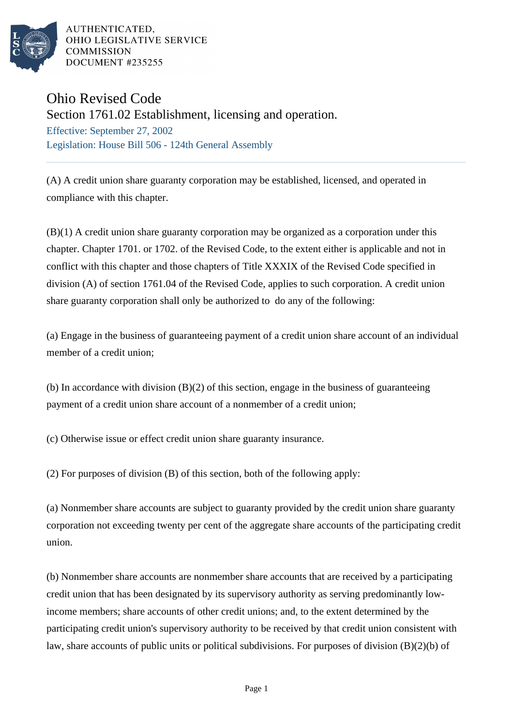

AUTHENTICATED. OHIO LEGISLATIVE SERVICE **COMMISSION** DOCUMENT #235255

## Ohio Revised Code

Section 1761.02 Establishment, licensing and operation.

Effective: September 27, 2002 Legislation: House Bill 506 - 124th General Assembly

(A) A credit union share guaranty corporation may be established, licensed, and operated in compliance with this chapter.

(B)(1) A credit union share guaranty corporation may be organized as a corporation under this chapter. Chapter 1701. or 1702. of the Revised Code, to the extent either is applicable and not in conflict with this chapter and those chapters of Title XXXIX of the Revised Code specified in division (A) of section 1761.04 of the Revised Code, applies to such corporation. A credit union share guaranty corporation shall only be authorized to do any of the following:

(a) Engage in the business of guaranteeing payment of a credit union share account of an individual member of a credit union;

(b) In accordance with division (B)(2) of this section, engage in the business of guaranteeing payment of a credit union share account of a nonmember of a credit union;

(c) Otherwise issue or effect credit union share guaranty insurance.

(2) For purposes of division (B) of this section, both of the following apply:

(a) Nonmember share accounts are subject to guaranty provided by the credit union share guaranty corporation not exceeding twenty per cent of the aggregate share accounts of the participating credit union.

(b) Nonmember share accounts are nonmember share accounts that are received by a participating credit union that has been designated by its supervisory authority as serving predominantly lowincome members; share accounts of other credit unions; and, to the extent determined by the participating credit union's supervisory authority to be received by that credit union consistent with law, share accounts of public units or political subdivisions. For purposes of division (B)(2)(b) of